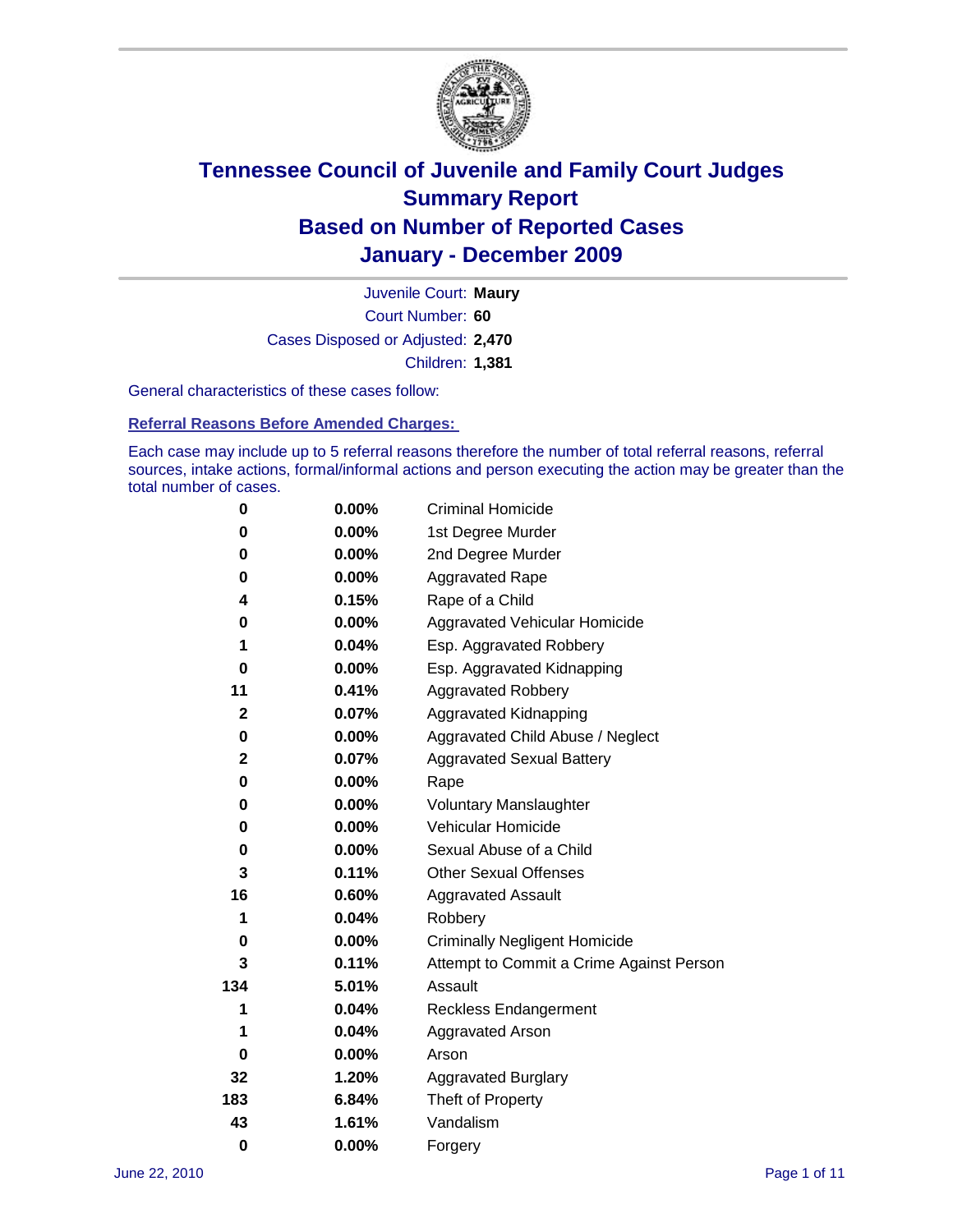

Court Number: **60** Juvenile Court: **Maury** Cases Disposed or Adjusted: **2,470** Children: **1,381**

General characteristics of these cases follow:

**Referral Reasons Before Amended Charges:** 

Each case may include up to 5 referral reasons therefore the number of total referral reasons, referral sources, intake actions, formal/informal actions and person executing the action may be greater than the total number of cases.

| 0              | $0.00\%$ | <b>Criminal Homicide</b>                 |
|----------------|----------|------------------------------------------|
| 0              | 0.00%    | 1st Degree Murder                        |
| 0              | $0.00\%$ | 2nd Degree Murder                        |
| 0              | $0.00\%$ | <b>Aggravated Rape</b>                   |
| 4              | 0.15%    | Rape of a Child                          |
| 0              | 0.00%    | Aggravated Vehicular Homicide            |
| 1              | 0.04%    | Esp. Aggravated Robbery                  |
| 0              | 0.00%    | Esp. Aggravated Kidnapping               |
| 11             | 0.41%    | <b>Aggravated Robbery</b>                |
| $\mathbf{2}$   | 0.07%    | Aggravated Kidnapping                    |
| 0              | 0.00%    | Aggravated Child Abuse / Neglect         |
| $\overline{2}$ | 0.07%    | <b>Aggravated Sexual Battery</b>         |
| 0              | $0.00\%$ | Rape                                     |
| 0              | $0.00\%$ | <b>Voluntary Manslaughter</b>            |
| 0              | 0.00%    | Vehicular Homicide                       |
| 0              | 0.00%    | Sexual Abuse of a Child                  |
| 3              | 0.11%    | <b>Other Sexual Offenses</b>             |
| 16             | 0.60%    | <b>Aggravated Assault</b>                |
| 1              | 0.04%    | Robbery                                  |
| 0              | $0.00\%$ | <b>Criminally Negligent Homicide</b>     |
| 3              | 0.11%    | Attempt to Commit a Crime Against Person |
| 134            | 5.01%    | Assault                                  |
| 1              | 0.04%    | <b>Reckless Endangerment</b>             |
| 1              | 0.04%    | <b>Aggravated Arson</b>                  |
| 0              | 0.00%    | Arson                                    |
| 32             | 1.20%    | <b>Aggravated Burglary</b>               |
| 183            | 6.84%    | Theft of Property                        |
| 43             | 1.61%    | Vandalism                                |
| $\bf{0}$       | 0.00%    | Forgery                                  |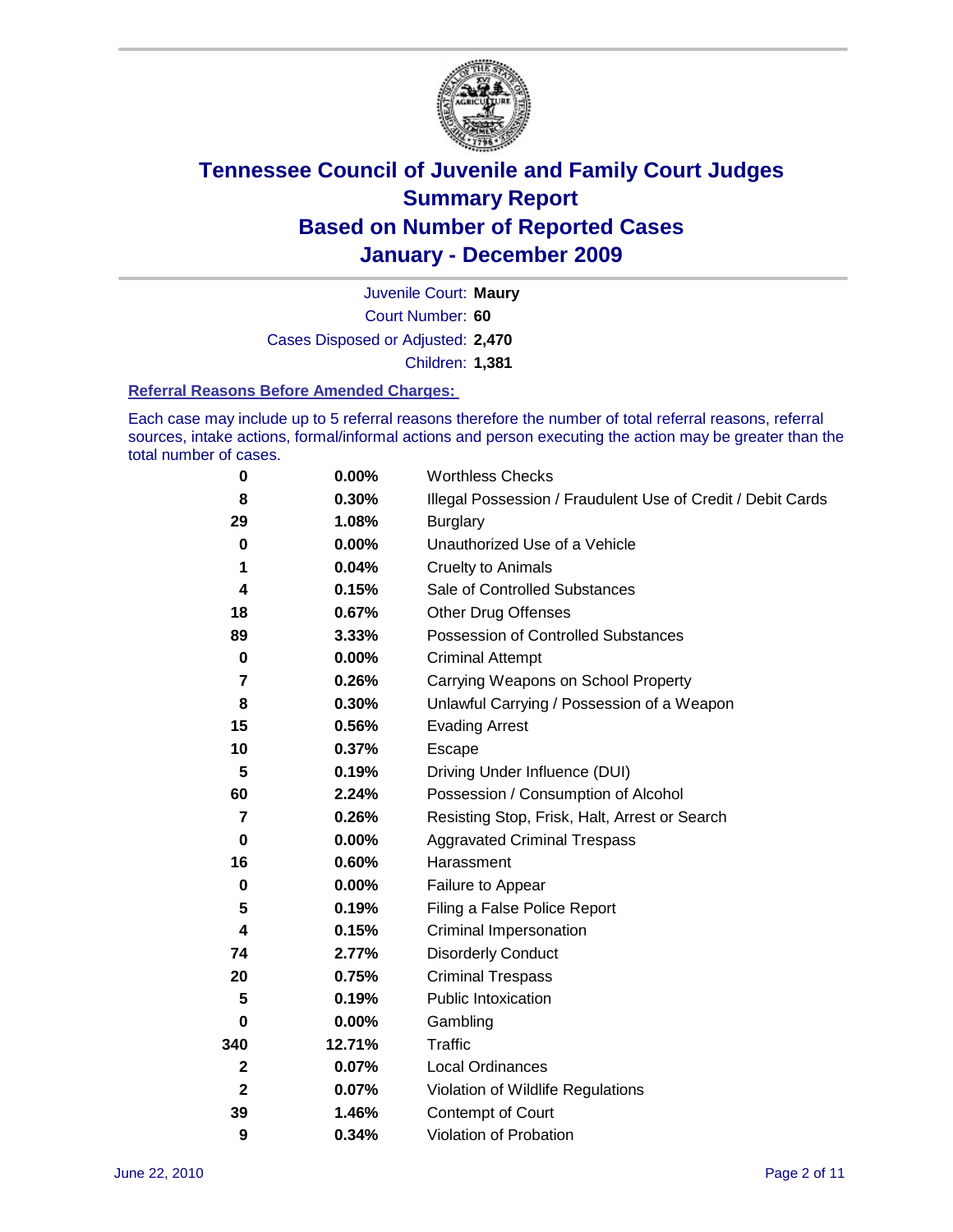

Court Number: **60** Juvenile Court: **Maury** Cases Disposed or Adjusted: **2,470** Children: **1,381**

### **Referral Reasons Before Amended Charges:**

Each case may include up to 5 referral reasons therefore the number of total referral reasons, referral sources, intake actions, formal/informal actions and person executing the action may be greater than the total number of cases.

| $\pmb{0}$    | 0.00%    | <b>Worthless Checks</b>                                     |  |
|--------------|----------|-------------------------------------------------------------|--|
| 8            | 0.30%    | Illegal Possession / Fraudulent Use of Credit / Debit Cards |  |
| 29           | 1.08%    | <b>Burglary</b>                                             |  |
| $\mathbf 0$  | $0.00\%$ | Unauthorized Use of a Vehicle                               |  |
| 1            | 0.04%    | <b>Cruelty to Animals</b>                                   |  |
| 4            | 0.15%    | Sale of Controlled Substances                               |  |
| 18           | 0.67%    | <b>Other Drug Offenses</b>                                  |  |
| 89           | 3.33%    | Possession of Controlled Substances                         |  |
| $\mathbf 0$  | $0.00\%$ | <b>Criminal Attempt</b>                                     |  |
| 7            | 0.26%    | Carrying Weapons on School Property                         |  |
| 8            | 0.30%    | Unlawful Carrying / Possession of a Weapon                  |  |
| 15           | 0.56%    | <b>Evading Arrest</b>                                       |  |
| 10           | 0.37%    | Escape                                                      |  |
| 5            | 0.19%    | Driving Under Influence (DUI)                               |  |
| 60           | 2.24%    | Possession / Consumption of Alcohol                         |  |
| 7            | 0.26%    | Resisting Stop, Frisk, Halt, Arrest or Search               |  |
| $\mathbf 0$  | $0.00\%$ | <b>Aggravated Criminal Trespass</b>                         |  |
| 16           | 0.60%    | Harassment                                                  |  |
| $\bf{0}$     | 0.00%    | Failure to Appear                                           |  |
| 5            | 0.19%    | Filing a False Police Report                                |  |
| 4            | 0.15%    | Criminal Impersonation                                      |  |
| 74           | 2.77%    | <b>Disorderly Conduct</b>                                   |  |
| 20           | 0.75%    | <b>Criminal Trespass</b>                                    |  |
| 5            | 0.19%    | <b>Public Intoxication</b>                                  |  |
| 0            | 0.00%    | Gambling                                                    |  |
| 340          | 12.71%   | <b>Traffic</b>                                              |  |
| 2            | 0.07%    | <b>Local Ordinances</b>                                     |  |
| $\mathbf{2}$ | 0.07%    | Violation of Wildlife Regulations                           |  |
| 39           | 1.46%    | Contempt of Court                                           |  |
| 9            | 0.34%    | Violation of Probation                                      |  |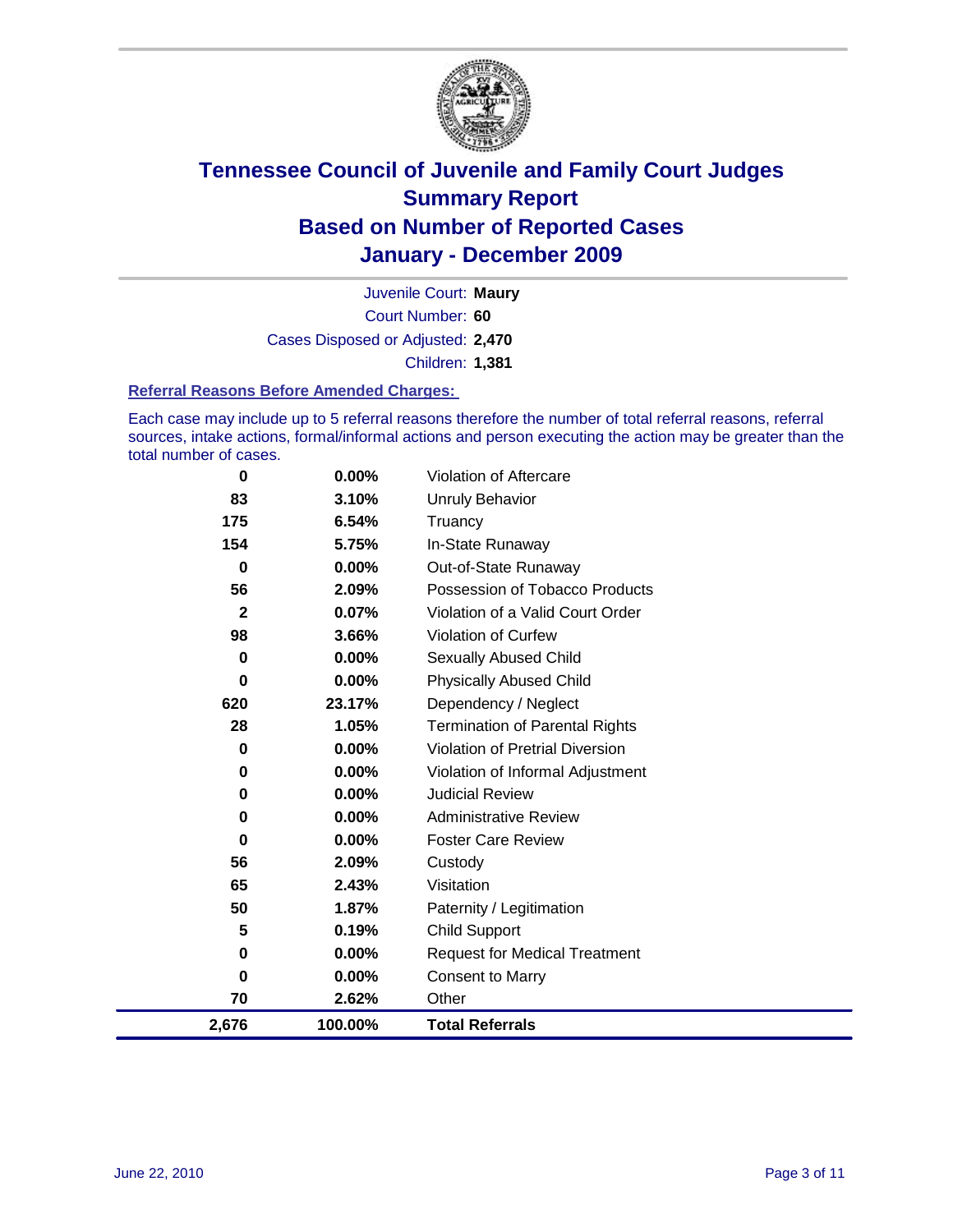

Court Number: **60** Juvenile Court: **Maury** Cases Disposed or Adjusted: **2,470** Children: **1,381**

### **Referral Reasons Before Amended Charges:**

Each case may include up to 5 referral reasons therefore the number of total referral reasons, referral sources, intake actions, formal/informal actions and person executing the action may be greater than the total number of cases.

| 0            | 0.00%    | Violation of Aftercare                 |
|--------------|----------|----------------------------------------|
| 83           | 3.10%    | <b>Unruly Behavior</b>                 |
| 175          | 6.54%    | Truancy                                |
| 154          | 5.75%    | In-State Runaway                       |
| 0            | $0.00\%$ | Out-of-State Runaway                   |
| 56           | 2.09%    | Possession of Tobacco Products         |
| $\mathbf{2}$ | 0.07%    | Violation of a Valid Court Order       |
| 98           | 3.66%    | Violation of Curfew                    |
| 0            | 0.00%    | Sexually Abused Child                  |
| $\bf{0}$     | 0.00%    | <b>Physically Abused Child</b>         |
| 620          | 23.17%   | Dependency / Neglect                   |
| 28           | 1.05%    | <b>Termination of Parental Rights</b>  |
| 0            | 0.00%    | <b>Violation of Pretrial Diversion</b> |
| 0            | 0.00%    | Violation of Informal Adjustment       |
| 0            | $0.00\%$ | <b>Judicial Review</b>                 |
| 0            | $0.00\%$ | <b>Administrative Review</b>           |
| 0            | 0.00%    | <b>Foster Care Review</b>              |
| 56           | 2.09%    | Custody                                |
| 65           | 2.43%    | Visitation                             |
| 50           | 1.87%    | Paternity / Legitimation               |
| 5            | 0.19%    | <b>Child Support</b>                   |
| 0            | $0.00\%$ | <b>Request for Medical Treatment</b>   |
| 0            | $0.00\%$ | <b>Consent to Marry</b>                |
| 70           | 2.62%    | Other                                  |
| 2,676        | 100.00%  | <b>Total Referrals</b>                 |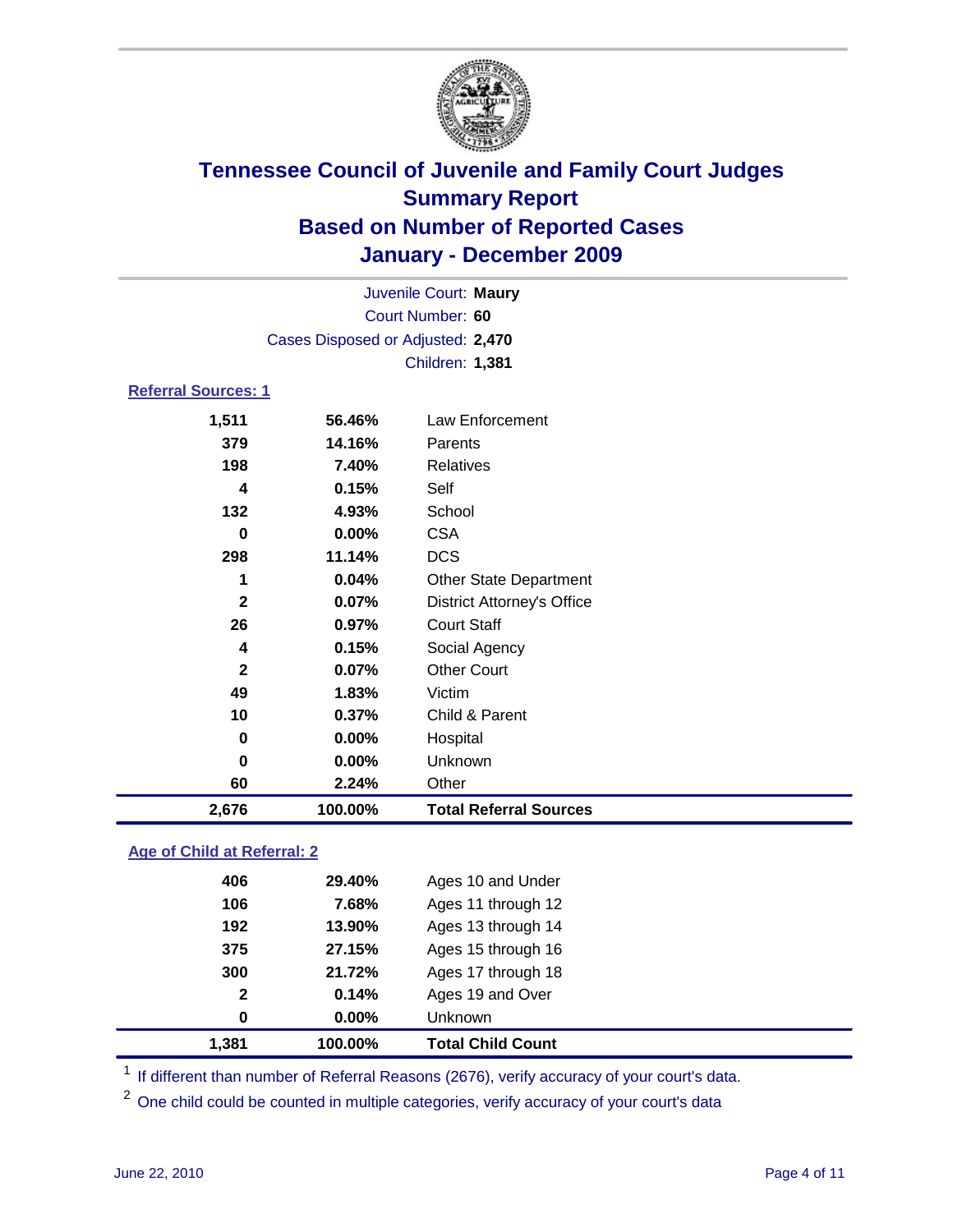

| Juvenile Court: Maury      |                                   |                                   |  |  |
|----------------------------|-----------------------------------|-----------------------------------|--|--|
|                            | Court Number: 60                  |                                   |  |  |
|                            | Cases Disposed or Adjusted: 2,470 |                                   |  |  |
|                            | Children: 1,381                   |                                   |  |  |
| <b>Referral Sources: 1</b> |                                   |                                   |  |  |
| 1,511                      | 56.46%                            | <b>Law Enforcement</b>            |  |  |
| 379                        | 14.16%                            | Parents                           |  |  |
| 198                        | 7.40%                             | <b>Relatives</b>                  |  |  |
| 4                          | 0.15%                             | Self                              |  |  |
| 132                        | 4.93%                             | School                            |  |  |
| 0                          | $0.00\%$                          | <b>CSA</b>                        |  |  |
| 298                        | 11.14%                            | <b>DCS</b>                        |  |  |
| 1                          | 0.04%                             | <b>Other State Department</b>     |  |  |
| $\mathbf{2}$               | 0.07%                             | <b>District Attorney's Office</b> |  |  |
| 26                         | 0.97%                             | <b>Court Staff</b>                |  |  |
| 4                          | 0.15%                             | Social Agency                     |  |  |
| $\mathbf{2}$               | 0.07%                             | <b>Other Court</b>                |  |  |
| 49                         | 1.83%                             | Victim                            |  |  |
| 10                         | 0.37%                             | Child & Parent                    |  |  |
| 0                          | 0.00%                             | Hospital                          |  |  |
| 0                          | 0.00%                             | Unknown                           |  |  |
| 60                         | 2.24%                             | Other                             |  |  |
| 2,676                      | 100.00%                           | <b>Total Referral Sources</b>     |  |  |
|                            |                                   |                                   |  |  |

### **Age of Child at Referral: 2**

| $\mathbf{2}$<br>0 | 0.14%<br>$0.00\%$ | Ages 19 and Over<br><b>Unknown</b> |  |
|-------------------|-------------------|------------------------------------|--|
|                   |                   |                                    |  |
|                   |                   |                                    |  |
| 300               | 21.72%            | Ages 17 through 18                 |  |
| 375               | 27.15%            | Ages 15 through 16                 |  |
| 192               | 13.90%            | Ages 13 through 14                 |  |
| 106               | 7.68%             | Ages 11 through 12                 |  |
| 406               | 29.40%            | Ages 10 and Under                  |  |
|                   |                   |                                    |  |

<sup>1</sup> If different than number of Referral Reasons (2676), verify accuracy of your court's data.

<sup>2</sup> One child could be counted in multiple categories, verify accuracy of your court's data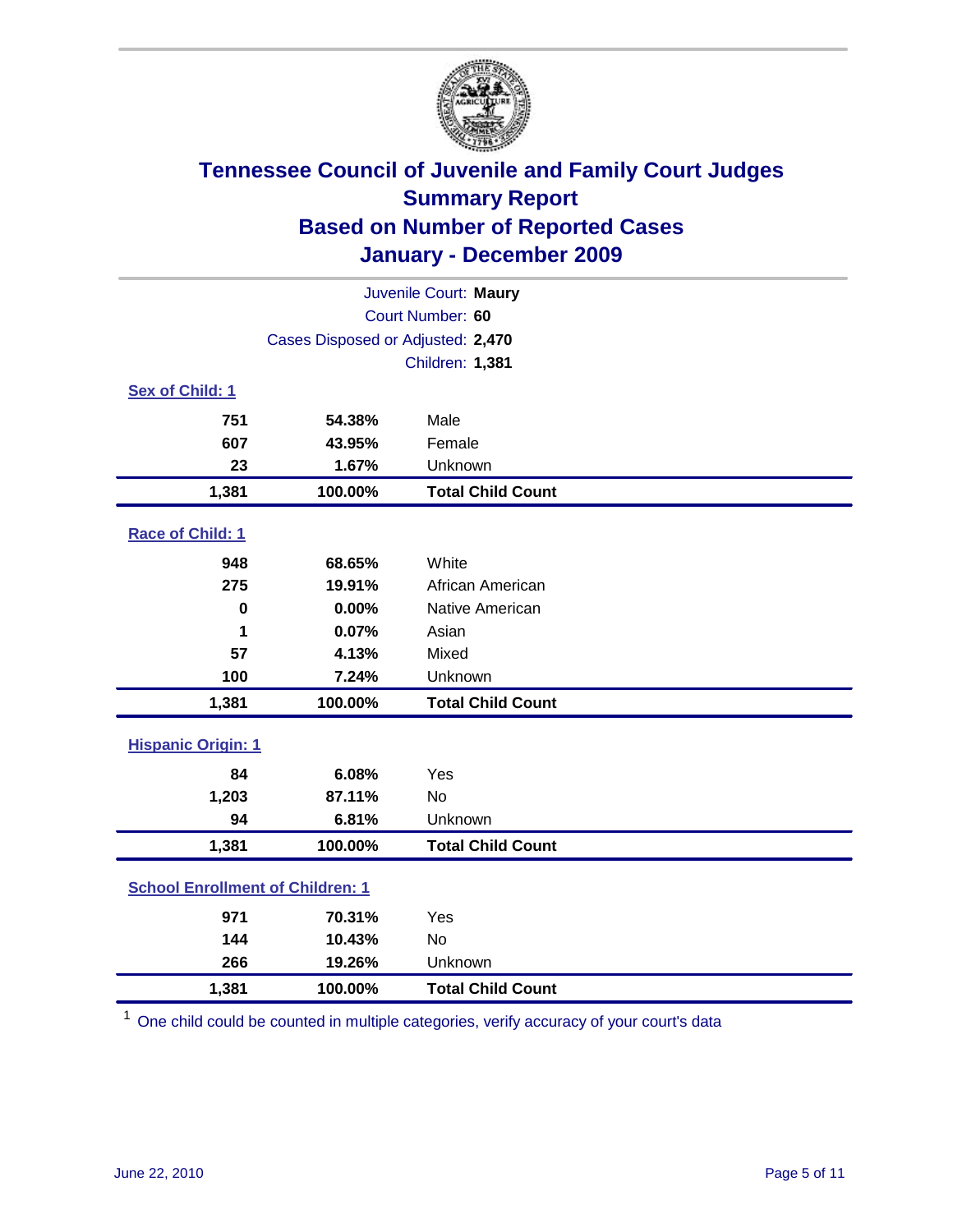

| Juvenile Court: Maury                   |                                   |                          |  |  |
|-----------------------------------------|-----------------------------------|--------------------------|--|--|
| Court Number: 60                        |                                   |                          |  |  |
|                                         | Cases Disposed or Adjusted: 2,470 |                          |  |  |
|                                         |                                   | Children: 1,381          |  |  |
| Sex of Child: 1                         |                                   |                          |  |  |
| 751                                     | 54.38%                            | Male                     |  |  |
| 607                                     | 43.95%                            | Female                   |  |  |
| 23                                      | 1.67%                             | Unknown                  |  |  |
| 1,381                                   | 100.00%                           | <b>Total Child Count</b> |  |  |
| Race of Child: 1                        |                                   |                          |  |  |
| 948                                     | 68.65%                            | White                    |  |  |
| 275                                     | 19.91%                            | African American         |  |  |
| $\mathbf 0$                             | 0.00%                             | Native American          |  |  |
| 1                                       | 0.07%                             | Asian                    |  |  |
| 57                                      | 4.13%                             | Mixed                    |  |  |
| 100                                     | 7.24%                             | Unknown                  |  |  |
| 1,381                                   | 100.00%                           | <b>Total Child Count</b> |  |  |
| <b>Hispanic Origin: 1</b>               |                                   |                          |  |  |
| 84                                      | 6.08%                             | Yes                      |  |  |
| 1,203                                   | 87.11%                            | <b>No</b>                |  |  |
| 94                                      | 6.81%                             | Unknown                  |  |  |
| 1,381                                   | 100.00%                           | <b>Total Child Count</b> |  |  |
| <b>School Enrollment of Children: 1</b> |                                   |                          |  |  |
| 971                                     | 70.31%                            | Yes                      |  |  |
| 144                                     | 10.43%                            | No                       |  |  |
| 266                                     | 19.26%                            | Unknown                  |  |  |
| 1,381                                   | 100.00%                           | <b>Total Child Count</b> |  |  |

<sup>1</sup> One child could be counted in multiple categories, verify accuracy of your court's data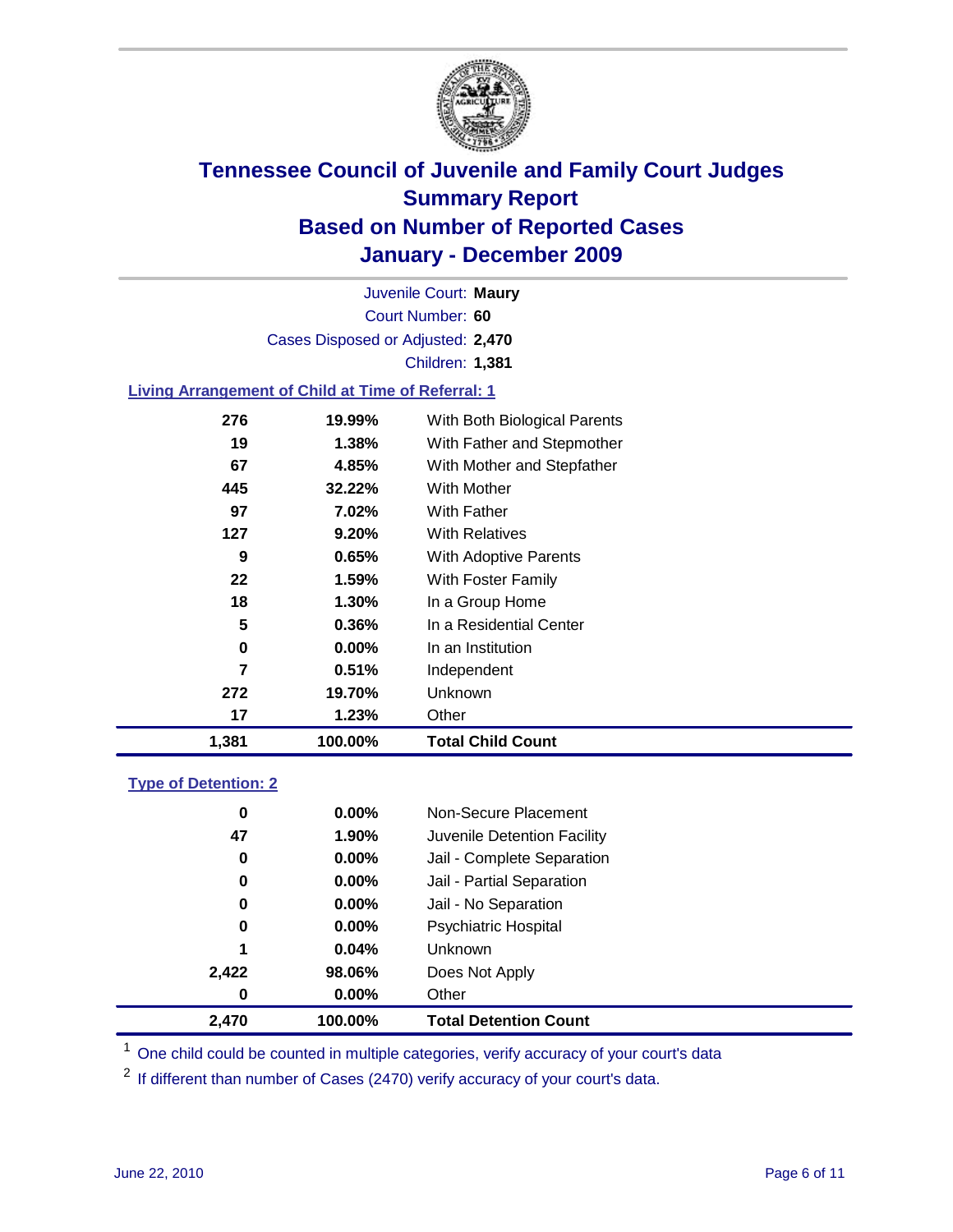

Court Number: **60** Juvenile Court: **Maury** Cases Disposed or Adjusted: **2,470** Children: **1,381**

### **Living Arrangement of Child at Time of Referral: 1**

| 1,381 | 100.00%  | <b>Total Child Count</b>     |
|-------|----------|------------------------------|
| 17    | 1.23%    | Other                        |
| 272   | 19.70%   | Unknown                      |
| 7     | 0.51%    | Independent                  |
| 0     | $0.00\%$ | In an Institution            |
| 5     | 0.36%    | In a Residential Center      |
| 18    | $1.30\%$ | In a Group Home              |
| 22    | 1.59%    | With Foster Family           |
| 9     | 0.65%    | With Adoptive Parents        |
| 127   | 9.20%    | <b>With Relatives</b>        |
| 97    | 7.02%    | With Father                  |
| 445   | 32.22%   | With Mother                  |
| 67    | 4.85%    | With Mother and Stepfather   |
| 19    | 1.38%    | With Father and Stepmother   |
| 276   | 19.99%   | With Both Biological Parents |
|       |          |                              |

### **Type of Detention: 2**

| 2,470 | 100.00%  | <b>Total Detention Count</b> |
|-------|----------|------------------------------|
| 0     | $0.00\%$ | Other                        |
| 2,422 | 98.06%   | Does Not Apply               |
| 1     | 0.04%    | <b>Unknown</b>               |
| 0     | 0.00%    | <b>Psychiatric Hospital</b>  |
| 0     | 0.00%    | Jail - No Separation         |
| 0     | $0.00\%$ | Jail - Partial Separation    |
| 0     | 0.00%    | Jail - Complete Separation   |
| 47    | 1.90%    | Juvenile Detention Facility  |
| 0     | $0.00\%$ | Non-Secure Placement         |
|       |          |                              |

<sup>1</sup> One child could be counted in multiple categories, verify accuracy of your court's data

<sup>2</sup> If different than number of Cases (2470) verify accuracy of your court's data.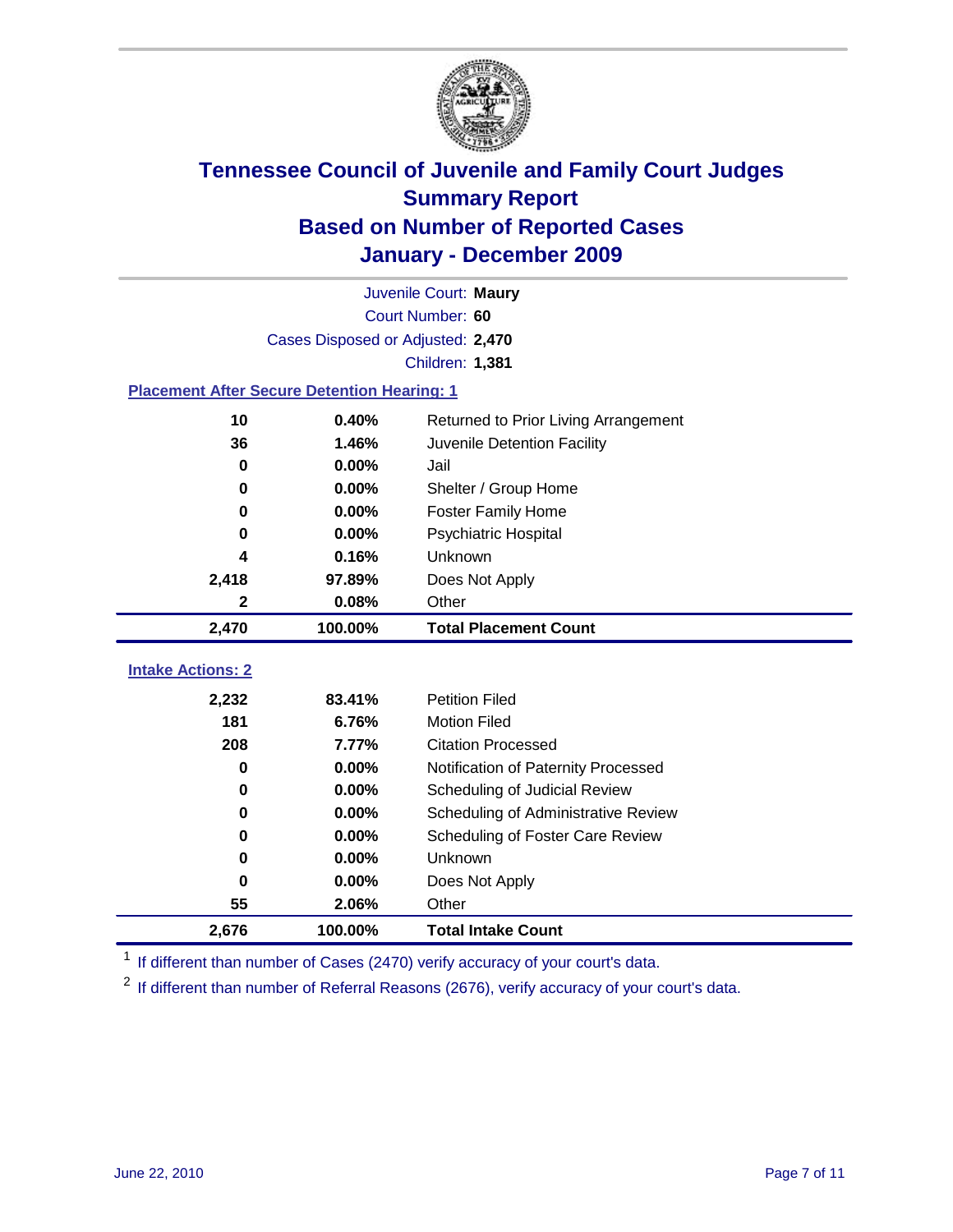

|                                                    | Juvenile Court: Maury             |                                      |  |  |  |
|----------------------------------------------------|-----------------------------------|--------------------------------------|--|--|--|
|                                                    | Court Number: 60                  |                                      |  |  |  |
|                                                    | Cases Disposed or Adjusted: 2,470 |                                      |  |  |  |
|                                                    | Children: 1,381                   |                                      |  |  |  |
| <b>Placement After Secure Detention Hearing: 1</b> |                                   |                                      |  |  |  |
| 10                                                 | 0.40%                             | Returned to Prior Living Arrangement |  |  |  |
| 36                                                 | 1.46%                             | Juvenile Detention Facility          |  |  |  |
| $\bf{0}$                                           | 0.00%                             | Jail                                 |  |  |  |
| 0                                                  | 0.00%                             | Shelter / Group Home                 |  |  |  |
| 0                                                  | 0.00%                             | Foster Family Home                   |  |  |  |
| 0                                                  | 0.00%                             | Psychiatric Hospital                 |  |  |  |
| 4                                                  | 0.16%                             | Unknown                              |  |  |  |
| 2,418                                              | 97.89%                            | Does Not Apply                       |  |  |  |
| 2                                                  | 0.08%                             | Other                                |  |  |  |
| 2,470                                              | 100.00%                           | <b>Total Placement Count</b>         |  |  |  |
| <b>Intake Actions: 2</b>                           |                                   |                                      |  |  |  |
| 2,232                                              | 83.41%                            | <b>Petition Filed</b>                |  |  |  |
| 181                                                | 6.76%                             | <b>Motion Filed</b>                  |  |  |  |
| 208                                                | 7.77%                             | <b>Citation Processed</b>            |  |  |  |
| 0                                                  | 0.00%                             | Notification of Paternity Processed  |  |  |  |
| $\bf{0}$                                           | 0.00%                             | Scheduling of Judicial Review        |  |  |  |
| 0                                                  | 0.00%                             | Scheduling of Administrative Review  |  |  |  |
| 0                                                  | 0.00%                             | Scheduling of Foster Care Review     |  |  |  |
| 0                                                  | 0.00%                             | Unknown                              |  |  |  |
| 0                                                  | 0.00%                             | Does Not Apply                       |  |  |  |
| 55                                                 | 2.06%                             | Other                                |  |  |  |
| 2,676                                              | 100.00%                           | <b>Total Intake Count</b>            |  |  |  |

<sup>1</sup> If different than number of Cases (2470) verify accuracy of your court's data.

<sup>2</sup> If different than number of Referral Reasons (2676), verify accuracy of your court's data.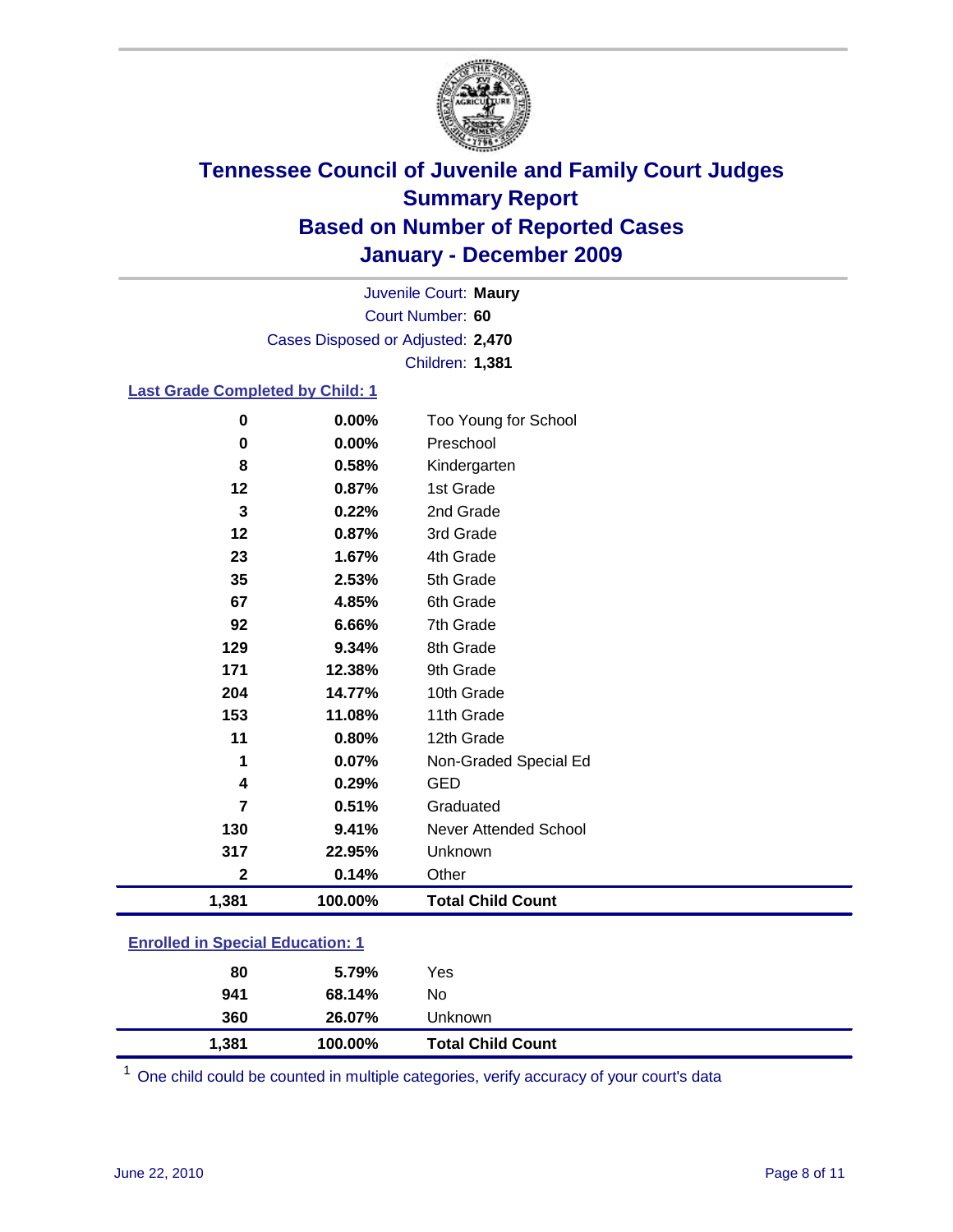

Court Number: **60** Juvenile Court: **Maury** Cases Disposed or Adjusted: **2,470** Children: **1,381**

### **Last Grade Completed by Child: 1**

| 0                                       | 0.00%   | Too Young for School         |  |
|-----------------------------------------|---------|------------------------------|--|
| 0                                       | 0.00%   | Preschool                    |  |
| 8                                       | 0.58%   | Kindergarten                 |  |
| 12                                      | 0.87%   | 1st Grade                    |  |
| 3                                       | 0.22%   | 2nd Grade                    |  |
| 12                                      | 0.87%   | 3rd Grade                    |  |
| 23                                      | 1.67%   | 4th Grade                    |  |
| 35                                      | 2.53%   | 5th Grade                    |  |
| 67                                      | 4.85%   | 6th Grade                    |  |
| 92                                      | 6.66%   | 7th Grade                    |  |
| 129                                     | 9.34%   | 8th Grade                    |  |
| 171                                     | 12.38%  | 9th Grade                    |  |
| 204                                     | 14.77%  | 10th Grade                   |  |
| 153                                     | 11.08%  | 11th Grade                   |  |
| 11                                      | 0.80%   | 12th Grade                   |  |
| 1                                       | 0.07%   | Non-Graded Special Ed        |  |
| 4                                       | 0.29%   | <b>GED</b>                   |  |
| 7                                       | 0.51%   | Graduated                    |  |
| 130                                     | 9.41%   | <b>Never Attended School</b> |  |
| 317                                     | 22.95%  | Unknown                      |  |
| $\mathbf 2$                             | 0.14%   | Other                        |  |
| 1,381                                   | 100.00% | <b>Total Child Count</b>     |  |
| <b>Enrolled in Special Education: 1</b> |         |                              |  |

| 80    | 5.79%   | Yes                      |  |
|-------|---------|--------------------------|--|
| 941   | 68.14%  | No                       |  |
| 360   | 26.07%  | Unknown                  |  |
| 1,381 | 100.00% | <b>Total Child Count</b> |  |

One child could be counted in multiple categories, verify accuracy of your court's data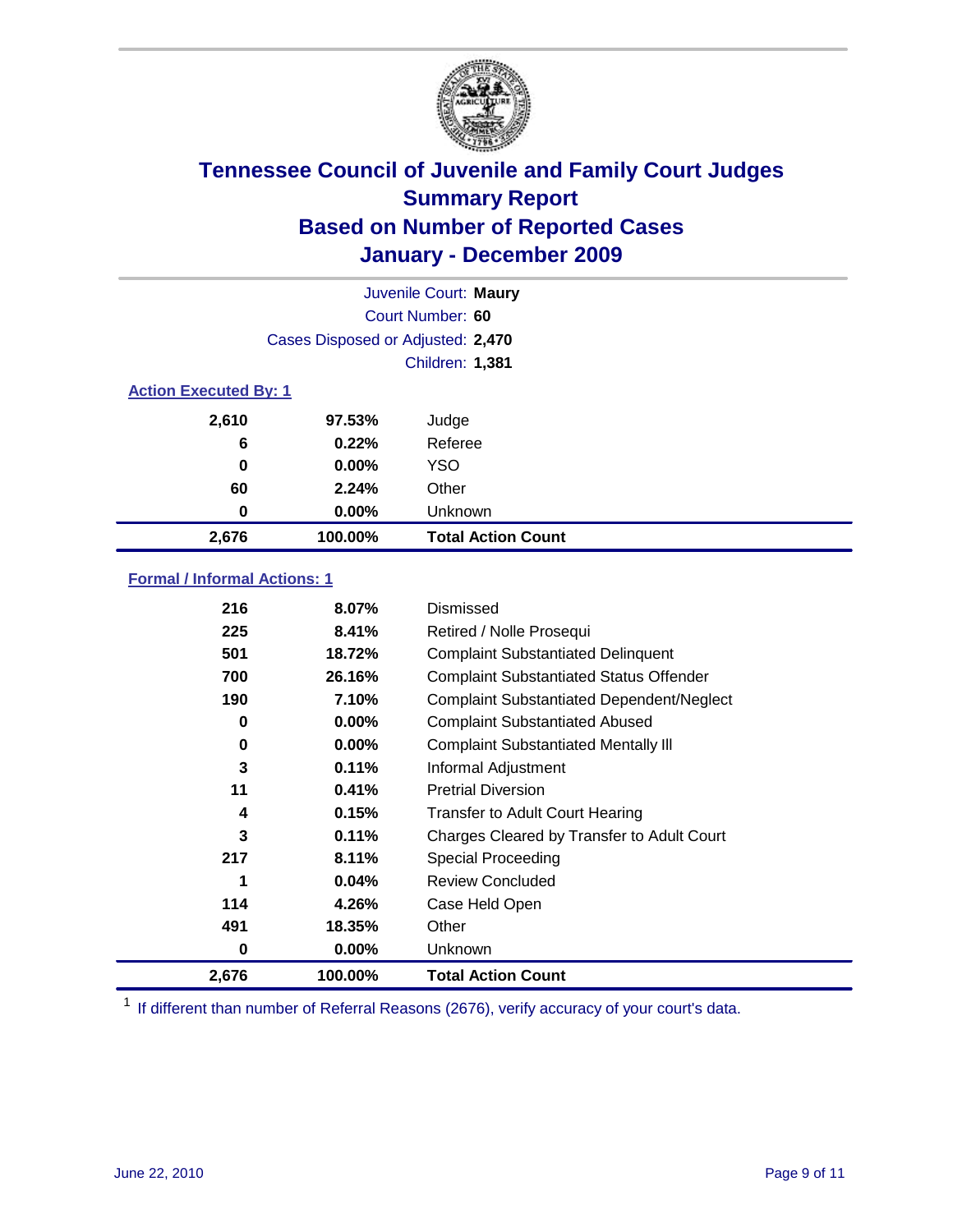

|                              | Juvenile Court: Maury             |                           |  |  |  |
|------------------------------|-----------------------------------|---------------------------|--|--|--|
|                              | Court Number: 60                  |                           |  |  |  |
|                              | Cases Disposed or Adjusted: 2,470 |                           |  |  |  |
|                              | Children: 1,381                   |                           |  |  |  |
| <b>Action Executed By: 1</b> |                                   |                           |  |  |  |
| 2,610                        | 97.53%                            | Judge                     |  |  |  |
| 6                            | 0.22%                             | Referee                   |  |  |  |
| 0                            | 0.00%                             | <b>YSO</b>                |  |  |  |
| 60                           | 2.24%                             | Other                     |  |  |  |
| 0                            | 0.00%                             | Unknown                   |  |  |  |
| 2,676                        | 100.00%                           | <b>Total Action Count</b> |  |  |  |

### **Formal / Informal Actions: 1**

| 216   | 8.07%    | <b>Dismissed</b>                                 |
|-------|----------|--------------------------------------------------|
| 225   | 8.41%    | Retired / Nolle Prosequi                         |
| 501   | 18.72%   | <b>Complaint Substantiated Delinquent</b>        |
| 700   | 26.16%   | <b>Complaint Substantiated Status Offender</b>   |
| 190   | 7.10%    | <b>Complaint Substantiated Dependent/Neglect</b> |
| 0     | $0.00\%$ | <b>Complaint Substantiated Abused</b>            |
| 0     | $0.00\%$ | <b>Complaint Substantiated Mentally III</b>      |
| 3     | 0.11%    | Informal Adjustment                              |
| 11    | 0.41%    | <b>Pretrial Diversion</b>                        |
| 4     | 0.15%    | <b>Transfer to Adult Court Hearing</b>           |
| 3     | 0.11%    | Charges Cleared by Transfer to Adult Court       |
| 217   | 8.11%    | <b>Special Proceeding</b>                        |
| 1     | 0.04%    | <b>Review Concluded</b>                          |
| 114   | 4.26%    | Case Held Open                                   |
| 491   | 18.35%   | Other                                            |
| 0     | 0.00%    | Unknown                                          |
| 2,676 | 100.00%  | <b>Total Action Count</b>                        |

<sup>1</sup> If different than number of Referral Reasons (2676), verify accuracy of your court's data.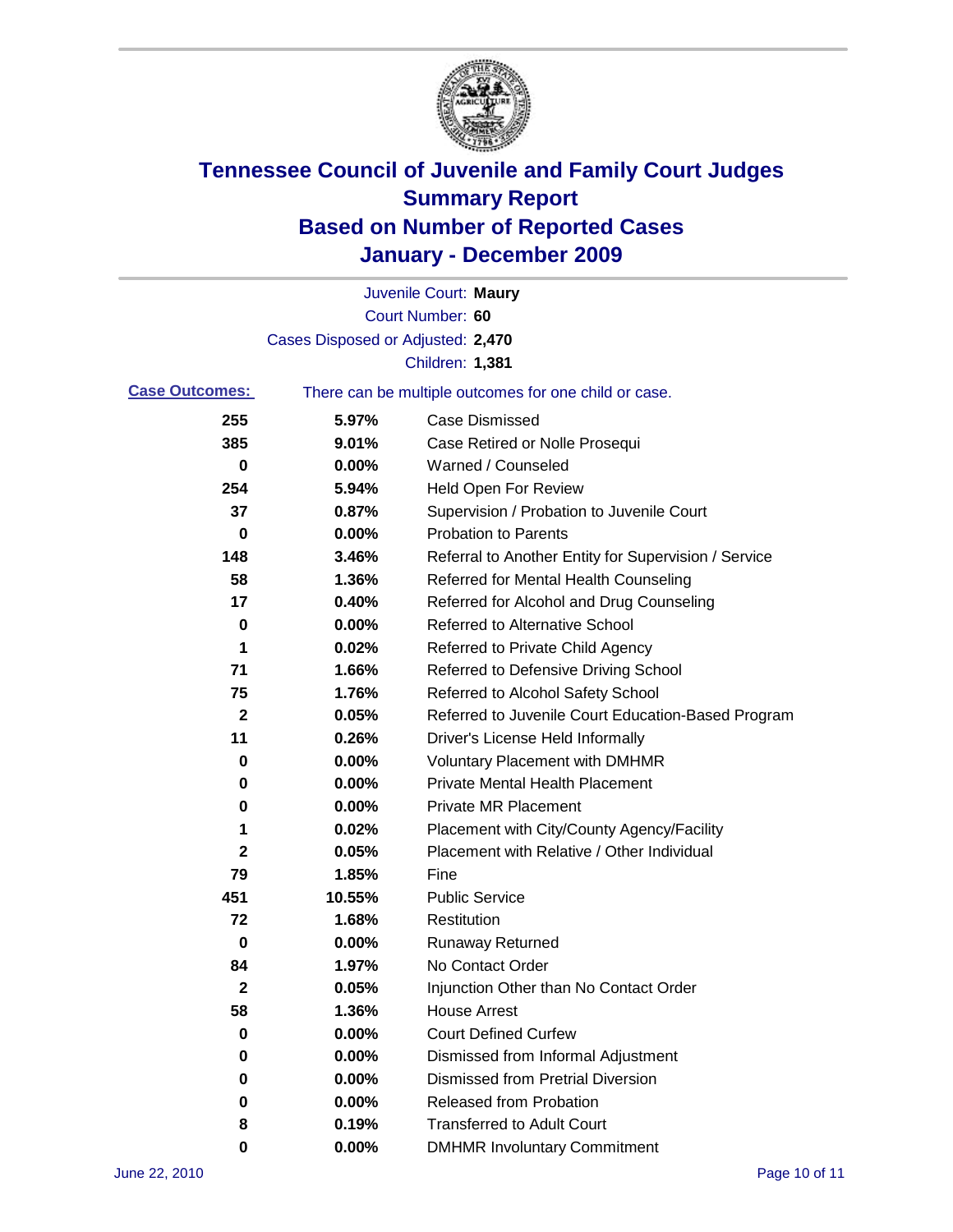

|                       |                                   | Juvenile Court: Maury                                 |
|-----------------------|-----------------------------------|-------------------------------------------------------|
|                       |                                   | Court Number: 60                                      |
|                       | Cases Disposed or Adjusted: 2,470 |                                                       |
|                       |                                   | <b>Children: 1,381</b>                                |
| <b>Case Outcomes:</b> |                                   | There can be multiple outcomes for one child or case. |
| 255                   | 5.97%                             | <b>Case Dismissed</b>                                 |
| 385                   | 9.01%                             | Case Retired or Nolle Prosequi                        |
| 0                     | 0.00%                             | Warned / Counseled                                    |
| 254                   | 5.94%                             | <b>Held Open For Review</b>                           |
| 37                    | 0.87%                             | Supervision / Probation to Juvenile Court             |
| 0                     | 0.00%                             | <b>Probation to Parents</b>                           |
| 148                   | 3.46%                             | Referral to Another Entity for Supervision / Service  |
| 58                    | 1.36%                             | Referred for Mental Health Counseling                 |
| 17                    | 0.40%                             | Referred for Alcohol and Drug Counseling              |
| 0                     | 0.00%                             | Referred to Alternative School                        |
| 1                     | 0.02%                             | Referred to Private Child Agency                      |
| 71                    | 1.66%                             | Referred to Defensive Driving School                  |
| 75                    | 1.76%                             | Referred to Alcohol Safety School                     |
| $\mathbf 2$           | 0.05%                             | Referred to Juvenile Court Education-Based Program    |
| 11                    | 0.26%                             | Driver's License Held Informally                      |
| 0                     | 0.00%                             | <b>Voluntary Placement with DMHMR</b>                 |
| 0                     | 0.00%                             | <b>Private Mental Health Placement</b>                |
| 0                     | 0.00%                             | <b>Private MR Placement</b>                           |
| 1                     | 0.02%                             | Placement with City/County Agency/Facility            |
| $\mathbf{2}$          | 0.05%                             | Placement with Relative / Other Individual            |
| 79                    | 1.85%                             | Fine                                                  |
| 451                   | 10.55%                            | <b>Public Service</b>                                 |
| 72                    | 1.68%                             | Restitution                                           |
| 0                     | 0.00%                             | <b>Runaway Returned</b>                               |
| 84                    | 1.97%                             | No Contact Order                                      |
| 2                     | 0.05%                             | Injunction Other than No Contact Order                |
| 58                    | 1.36%                             | <b>House Arrest</b>                                   |
| 0                     | 0.00%                             | <b>Court Defined Curfew</b>                           |
| 0                     | 0.00%                             | Dismissed from Informal Adjustment                    |
| 0                     | 0.00%                             | <b>Dismissed from Pretrial Diversion</b>              |
| 0                     | 0.00%                             | Released from Probation                               |
| 8                     | 0.19%                             | <b>Transferred to Adult Court</b>                     |
| 0                     | 0.00%                             | <b>DMHMR Involuntary Commitment</b>                   |